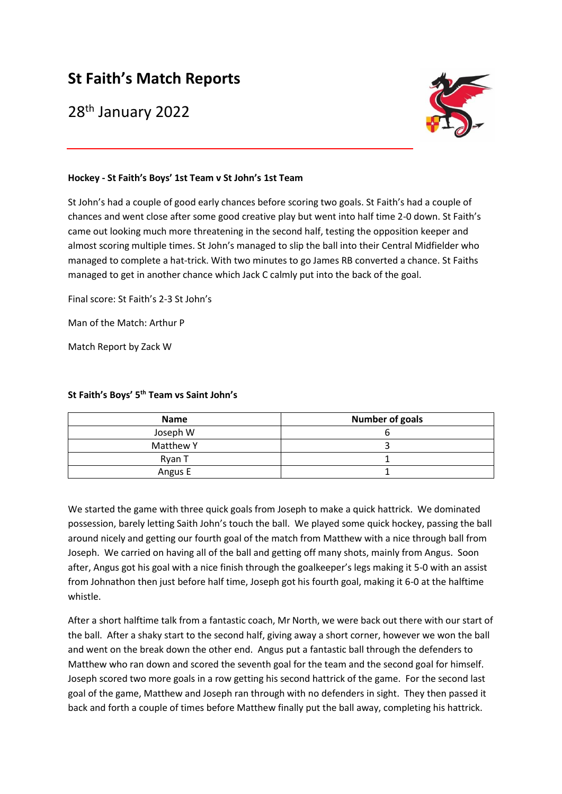## **St Faith's Match Reports**

28th January 2022



## **Hockey - St Faith's Boys' 1st Team v St John's 1st Team**

St John's had a couple of good early chances before scoring two goals. St Faith's had a couple of chances and went close after some good creative play but went into half time 2-0 down. St Faith's came out looking much more threatening in the second half, testing the opposition keeper and almost scoring multiple times. St John's managed to slip the ball into their Central Midfielder who managed to complete a hat-trick. With two minutes to go James RB converted a chance. St Faiths managed to get in another chance which Jack C calmly put into the back of the goal.

Final score: St Faith's 2-3 St John's

Man of the Match: Arthur P

Match Report by Zack W

## **St Faith's Boys' 5 th Team vs Saint John's**

| <b>Name</b> | <b>Number of goals</b> |
|-------------|------------------------|
| Joseph W    |                        |
| Matthew Y   |                        |
| Ryan T      |                        |
| Angus E     |                        |

We started the game with three quick goals from Joseph to make a quick hattrick. We dominated possession, barely letting Saith John's touch the ball. We played some quick hockey, passing the ball around nicely and getting our fourth goal of the match from Matthew with a nice through ball from Joseph. We carried on having all of the ball and getting off many shots, mainly from Angus. Soon after, Angus got his goal with a nice finish through the goalkeeper's legs making it 5-0 with an assist from Johnathon then just before half time, Joseph got his fourth goal, making it 6-0 at the halftime whistle.

After a short halftime talk from a fantastic coach, Mr North, we were back out there with our start of the ball. After a shaky start to the second half, giving away a short corner, however we won the ball and went on the break down the other end. Angus put a fantastic ball through the defenders to Matthew who ran down and scored the seventh goal for the team and the second goal for himself. Joseph scored two more goals in a row getting his second hattrick of the game. For the second last goal of the game, Matthew and Joseph ran through with no defenders in sight. They then passed it back and forth a couple of times before Matthew finally put the ball away, completing his hattrick.